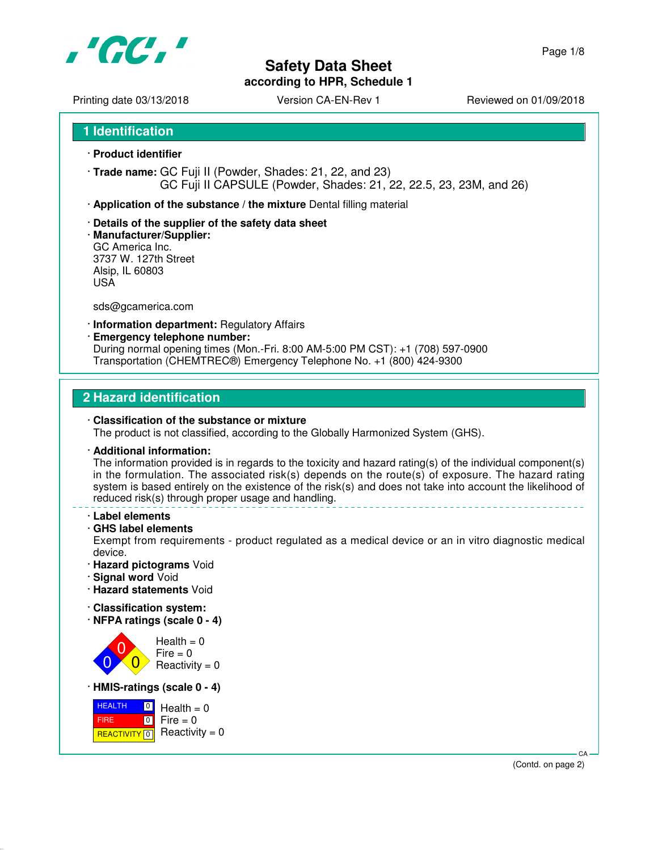

# **Safety Data Sheet**

**according to HPR, Schedule 1**

Printing date 03/13/2018 <br>
Version CA-EN-Rev 1 Reviewed on 01/09/2018

**1 Identification**

- · **Product identifier**
- · **Trade name:** GC Fuji II (Powder, Shades: 21, 22, and 23) GC Fuji II CAPSULE (Powder, Shades: 21, 22, 22.5, 23, 23M, and 26)
- · **Application of the substance / the mixture** Dental filling material
- · **Details of the supplier of the safety data sheet**
- · **Manufacturer/Supplier:** GC America Inc. 3737 W. 127th Street Alsip, IL 60803 USA

sds@gcamerica.com

- · **Information department:** Regulatory Affairs
- · **Emergency telephone number:**

During normal opening times (Mon.-Fri. 8:00 AM-5:00 PM CST): +1 (708) 597-0900 Transportation (CHEMTREC®) Emergency Telephone No. +1 (800) 424-9300

### **2 Hazard identification**

#### · **Classification of the substance or mixture** The product is not classified, according to the Globally Harmonized System (GHS).

#### · **Additional information:**

The information provided is in regards to the toxicity and hazard rating(s) of the individual component(s) in the formulation. The associated risk(s) depends on the route(s) of exposure. The hazard rating system is based entirely on the existence of the risk(s) and does not take into account the likelihood of reduced risk(s) through proper usage and handling.

- · **Label elements**
- · **GHS label elements**

Exempt from requirements - product regulated as a medical device or an in vitro diagnostic medical device.

- · **Hazard pictograms** Void
- · **Signal word** Void
- · **Hazard statements** Void
- · **Classification system:**
- · **NFPA ratings (scale 0 4)**



· **HMIS-ratings (scale 0 - 4)**

| $\overline{0}$<br><b>HEALTH</b> | $Health = 0$                                 |
|---------------------------------|----------------------------------------------|
| <b>FIRE</b>                     | $\blacksquare$ 0 $\blacksquare$ Fire = 0     |
|                                 | <b>REACTIVITY</b> $\boxed{0}$ Reactivity = 0 |

 CA (Contd. on page 2)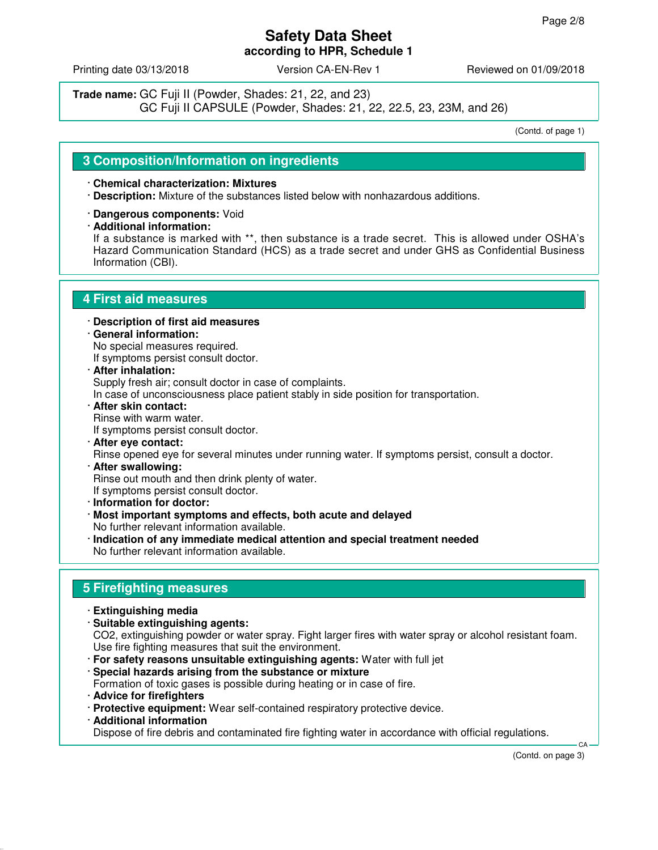Printing date 03/13/2018 Version CA-EN-Rev 1 Reviewed on 01/09/2018

**Trade name:** GC Fuji II (Powder, Shades: 21, 22, and 23) GC Fuji II CAPSULE (Powder, Shades: 21, 22, 22.5, 23, 23M, and 26)

(Contd. of page 1)

### **3 Composition/Information on ingredients**

#### · **Chemical characterization: Mixtures**

- · **Description:** Mixture of the substances listed below with nonhazardous additions.
- · **Dangerous components:** Void
- · **Additional information:**

If a substance is marked with \*\*, then substance is a trade secret. This is allowed under OSHA's Hazard Communication Standard (HCS) as a trade secret and under GHS as Confidential Business Information (CBI).

### **4 First aid measures**

- · **Description of first aid measures**
- · **General information:** No special measures required. If symptoms persist consult doctor.
- · **After inhalation:** Supply fresh air; consult doctor in case of complaints.

In case of unconsciousness place patient stably in side position for transportation.

- · **After skin contact:** Rinse with warm water. If symptoms persist consult doctor.
- · **After eye contact:** Rinse opened eye for several minutes under running water. If symptoms persist, consult a doctor.
- · **After swallowing:** Rinse out mouth and then drink plenty of water. If symptoms persist consult doctor.
- · **Information for doctor:**
- · **Most important symptoms and effects, both acute and delayed** No further relevant information available.
- · **Indication of any immediate medical attention and special treatment needed** No further relevant information available.

# **5 Firefighting measures**

- · **Extinguishing media**
- · **Suitable extinguishing agents:**

CO2, extinguishing powder or water spray. Fight larger fires with water spray or alcohol resistant foam. Use fire fighting measures that suit the environment.

- · **For safety reasons unsuitable extinguishing agents:** Water with full jet
- · **Special hazards arising from the substance or mixture**
- Formation of toxic gases is possible during heating or in case of fire.
- · **Advice for firefighters**
- · **Protective equipment:** Wear self-contained respiratory protective device.
- · **Additional information**

Dispose of fire debris and contaminated fire fighting water in accordance with official regulations.

(Contd. on page 3)

CA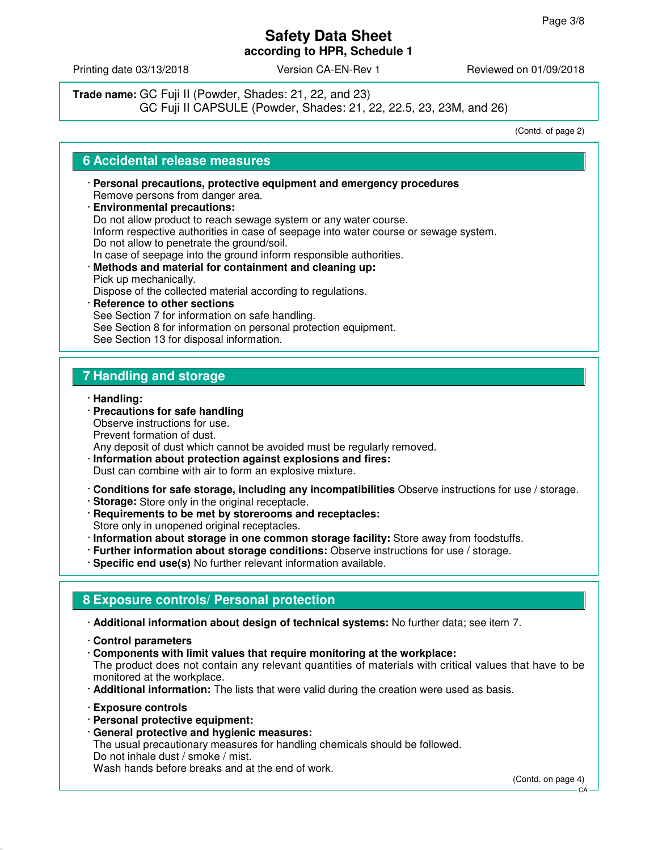Printing date 03/13/2018 **Version CA-EN-Rev 1** Reviewed on 01/09/2018

**Trade name:** GC Fuji II (Powder, Shades: 21, 22, and 23) GC Fuji II CAPSULE (Powder, Shades: 21, 22, 22.5, 23, 23M, and 26)

(Contd. of page 2)

### **6 Accidental release measures**

- · **Personal precautions, protective equipment and emergency procedures** Remove persons from danger area.
- · **Environmental precautions:** Do not allow product to reach sewage system or any water course. Inform respective authorities in case of seepage into water course or sewage system. Do not allow to penetrate the ground/soil. In case of seepage into the ground inform responsible authorities. · **Methods and material for containment and cleaning up:** Pick up mechanically. Dispose of the collected material according to regulations. · **Reference to other sections** See Section 7 for information on safe handling.
	- See Section 8 for information on personal protection equipment.

See Section 13 for disposal information.

# **7 Handling and storage**

- · **Handling:**
- · **Precautions for safe handling** Observe instructions for use. Prevent formation of dust.
- Any deposit of dust which cannot be avoided must be regularly removed.
- · **Information about protection against explosions and fires:** Dust can combine with air to form an explosive mixture.
- · **Conditions for safe storage, including any incompatibilities** Observe instructions for use / storage.
- · **Storage:** Store only in the original receptacle.
- · **Requirements to be met by storerooms and receptacles:** Store only in unopened original receptacles.
- · **Information about storage in one common storage facility:** Store away from foodstuffs.
- · **Further information about storage conditions:** Observe instructions for use / storage.
- · **Specific end use(s)** No further relevant information available.

# **8 Exposure controls/ Personal protection**

- · **Additional information about design of technical systems:** No further data; see item 7.
- · **Control parameters**
- · **Components with limit values that require monitoring at the workplace:** The product does not contain any relevant quantities of materials with critical values that have to be monitored at the workplace.
- · **Additional information:** The lists that were valid during the creation were used as basis.
- · **Exposure controls**
- · **Personal protective equipment:**
- · **General protective and hygienic measures:**

The usual precautionary measures for handling chemicals should be followed. Do not inhale dust / smoke / mist.

Wash hands before breaks and at the end of work.

(Contd. on page 4)

CA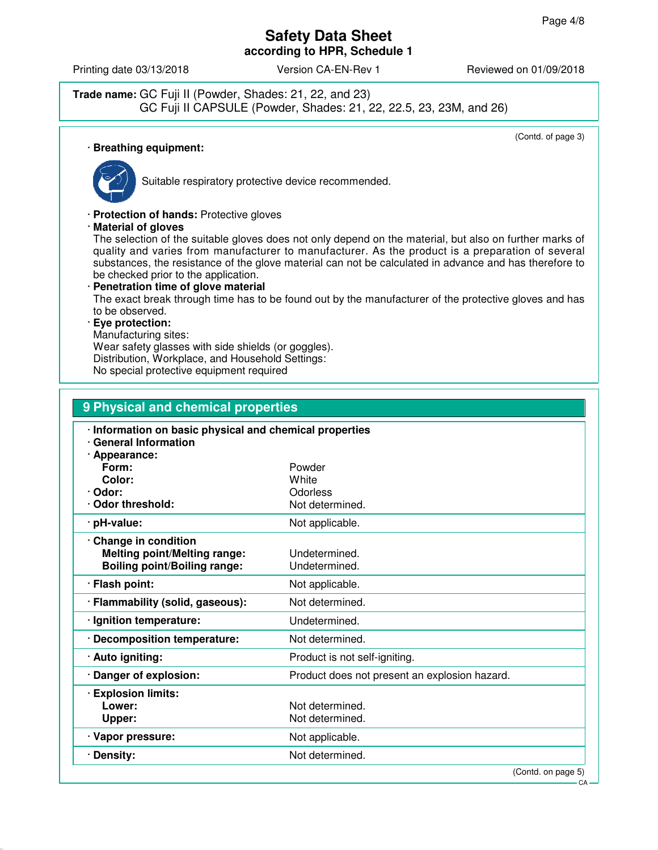Printing date 03/13/2018 **Version CA-EN-Rev 1** Reviewed on 01/09/2018

**Trade name:** GC Fuji II (Powder, Shades: 21, 22, and 23) GC Fuji II CAPSULE (Powder, Shades: 21, 22, 22.5, 23, 23M, and 26)

(Contd. of page 3)

# · **Breathing equipment:**



Suitable respiratory protective device recommended.

· **Protection of hands:** Protective gloves

· **Material of gloves**

The selection of the suitable gloves does not only depend on the material, but also on further marks of quality and varies from manufacturer to manufacturer. As the product is a preparation of several substances, the resistance of the glove material can not be calculated in advance and has therefore to be checked prior to the application.

· **Penetration time of glove material** The exact break through time has to be found out by the manufacturer of the protective gloves and has to be observed.

#### · **Eye protection:**

Manufacturing sites:

Wear safety glasses with side shields (or goggles). Distribution, Workplace, and Household Settings:

No special protective equipment required

| 9 Physical and chemical properties                                                                     |                                               |
|--------------------------------------------------------------------------------------------------------|-----------------------------------------------|
| · Information on basic physical and chemical properties<br><b>General Information</b><br>· Appearance: |                                               |
| Form:                                                                                                  | Powder                                        |
| Color:                                                                                                 | White                                         |
| · Odor:<br>Odor threshold:                                                                             | Odorless<br>Not determined.                   |
| · pH-value:                                                                                            | Not applicable.                               |
| · Change in condition<br><b>Melting point/Melting range:</b><br><b>Boiling point/Boiling range:</b>    | Undetermined.<br>Undetermined.                |
| · Flash point:                                                                                         | Not applicable.                               |
| · Flammability (solid, gaseous):                                                                       | Not determined.                               |
| · Ignition temperature:                                                                                | Undetermined.                                 |
| · Decomposition temperature:                                                                           | Not determined.                               |
| · Auto igniting:                                                                                       | Product is not self-igniting.                 |
| · Danger of explosion:                                                                                 | Product does not present an explosion hazard. |
| <b>Explosion limits:</b><br>Lower:<br>Upper:                                                           | Not determined.<br>Not determined.            |
| · Vapor pressure:                                                                                      | Not applicable.                               |
| · Density:                                                                                             | Not determined.                               |
|                                                                                                        | (Contd. on page 5)                            |

CA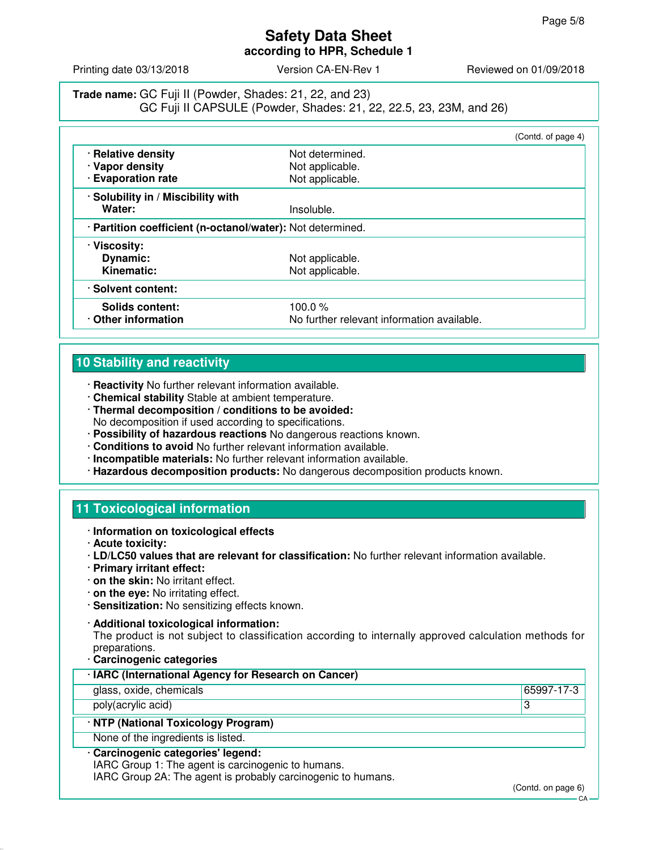Printing date 03/13/2018 **Version CA-EN-Rev 1** Reviewed on 01/09/2018

**Trade name:** GC Fuji II (Powder, Shades: 21, 22, and 23) GC Fuji II CAPSULE (Powder, Shades: 21, 22, 22.5, 23, 23M, and 26)

|                                                            |                                            | (Contd. of page 4) |
|------------------------------------------------------------|--------------------------------------------|--------------------|
| · Relative density                                         | Not determined.                            |                    |
| · Vapor density                                            | Not applicable.                            |                    |
| · Evaporation rate                                         | Not applicable.                            |                    |
| · Solubility in / Miscibility with                         |                                            |                    |
| Water:                                                     | Insoluble.                                 |                    |
| · Partition coefficient (n-octanol/water): Not determined. |                                            |                    |
| · Viscosity:                                               |                                            |                    |
| Dynamic:                                                   | Not applicable.                            |                    |
| Kinematic:                                                 | Not applicable.                            |                    |
| · Solvent content:                                         |                                            |                    |
| Solids content:                                            | 100.0 $%$                                  |                    |
| Other information                                          | No further relevant information available. |                    |

# **10 Stability and reactivity**

- · **Reactivity** No further relevant information available.
- · **Chemical stability** Stable at ambient temperature.
- · **Thermal decomposition / conditions to be avoided:** No decomposition if used according to specifications.
- · **Possibility of hazardous reactions** No dangerous reactions known.
- · **Conditions to avoid** No further relevant information available.
- · **Incompatible materials:** No further relevant information available.
- · **Hazardous decomposition products:** No dangerous decomposition products known.

# **11 Toxicological information**

- · **Information on toxicological effects**
- · **Acute toxicity:**
- · **LD/LC50 values that are relevant for classification:** No further relevant information available.
- · **Primary irritant effect:**
- · **on the skin:** No irritant effect.
- · **on the eye:** No irritating effect.
- · **Sensitization:** No sensitizing effects known.
- · **Additional toxicological information:**

The product is not subject to classification according to internally approved calculation methods for preparations.

· **Carcinogenic categories**

| · IARC (International Agency for Research on Cancer)                                                                                                                                                                                                                   |            |
|------------------------------------------------------------------------------------------------------------------------------------------------------------------------------------------------------------------------------------------------------------------------|------------|
| glass, oxide, chemicals                                                                                                                                                                                                                                                | 65997-17-3 |
| poly(acrylic acid)                                                                                                                                                                                                                                                     | ാ<br>د     |
| · NTP (National Toxicology Program)                                                                                                                                                                                                                                    |            |
| None of the ingredients is listed.                                                                                                                                                                                                                                     |            |
| · Carcinogenic categories' legend:<br>$IMDA$ $O(1)$ $A$ $I$ $E_1$ $A_2$ $B_2$ $B_3$ $C_4$ $D_4$ $D_5$ $D_6$ $D_7$ $D_8$ $D_9$ $D_9$ $D_8$ $D_9$ $D_9$ $D_9$ $D_9$ $D_9$ $D_9$ $D_9$ $D_9$ $D_9$ $D_9$ $D_9$ $D_9$ $D_9$ $D_9$ $D_9$ $D_9$ $D_9$ $D_9$ $D_9$ $D_9$ $D_$ |            |

IARC Group 1: The agent is carcinogenic to humans.

IARC Group 2A: The agent is probably carcinogenic to humans.

(Contd. on page 6)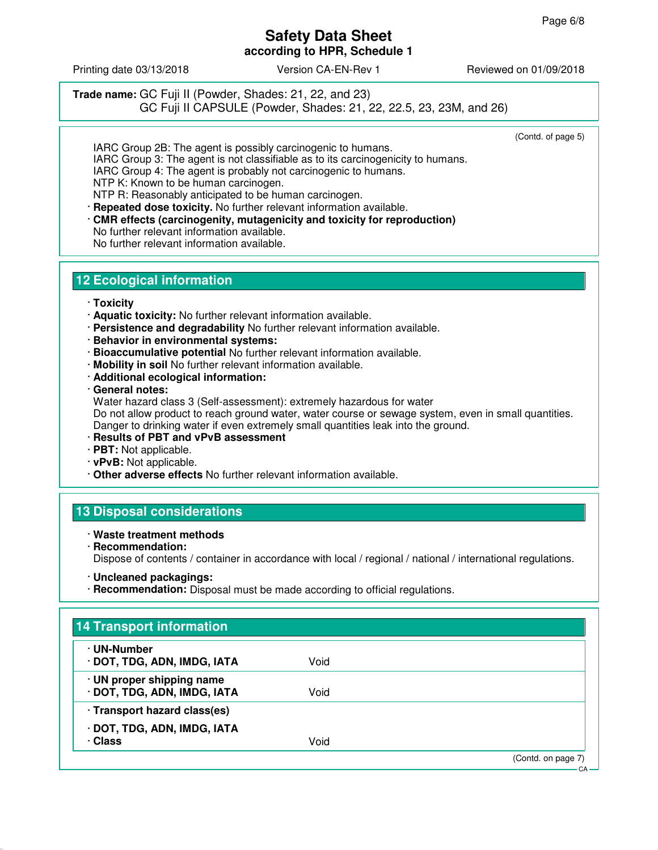Printing date 03/13/2018 Version CA-EN-Rev 1 Reviewed on 01/09/2018

**Trade name:** GC Fuji II (Powder, Shades: 21, 22, and 23) GC Fuji II CAPSULE (Powder, Shades: 21, 22, 22.5, 23, 23M, and 26)

(Contd. of page 5)

IARC Group 2B: The agent is possibly carcinogenic to humans. IARC Group 3: The agent is not classifiable as to its carcinogenicity to humans. IARC Group 4: The agent is probably not carcinogenic to humans. NTP K: Known to be human carcinogen. NTP R: Reasonably anticipated to be human carcinogen.

· **Repeated dose toxicity.** No further relevant information available.

· **CMR effects (carcinogenity, mutagenicity and toxicity for reproduction)** No further relevant information available. No further relevant information available.

# **12 Ecological information**

#### · **Toxicity**

- · **Aquatic toxicity:** No further relevant information available.
- · **Persistence and degradability** No further relevant information available.
- · **Behavior in environmental systems:**
- · **Bioaccumulative potential** No further relevant information available.
- · **Mobility in soil** No further relevant information available.
- · **Additional ecological information:**

· **General notes:**

Water hazard class 3 (Self-assessment): extremely hazardous for water Do not allow product to reach ground water, water course or sewage system, even in small quantities. Danger to drinking water if even extremely small quantities leak into the ground.

- · **Results of PBT and vPvB assessment**
- · **PBT:** Not applicable.
- · **vPvB:** Not applicable.
- · **Other adverse effects** No further relevant information available.

### **13 Disposal considerations**

#### · **Waste treatment methods**

· **Recommendation:** Dispose of contents / container in accordance with local / regional / national / international regulations.

· **Recommendation:** Disposal must be made according to official regulations.

| · UN-Number<br>· DOT, TDG, ADN, IMDG, IATA               | Void |  |
|----------------------------------------------------------|------|--|
|                                                          |      |  |
| · UN proper shipping name<br>· DOT, TDG, ADN, IMDG, IATA | Void |  |
| · Transport hazard class(es)                             |      |  |
| · DOT, TDG, ADN, IMDG, IATA                              |      |  |
| · Class                                                  | Void |  |

<sup>·</sup> **Uncleaned packagings:**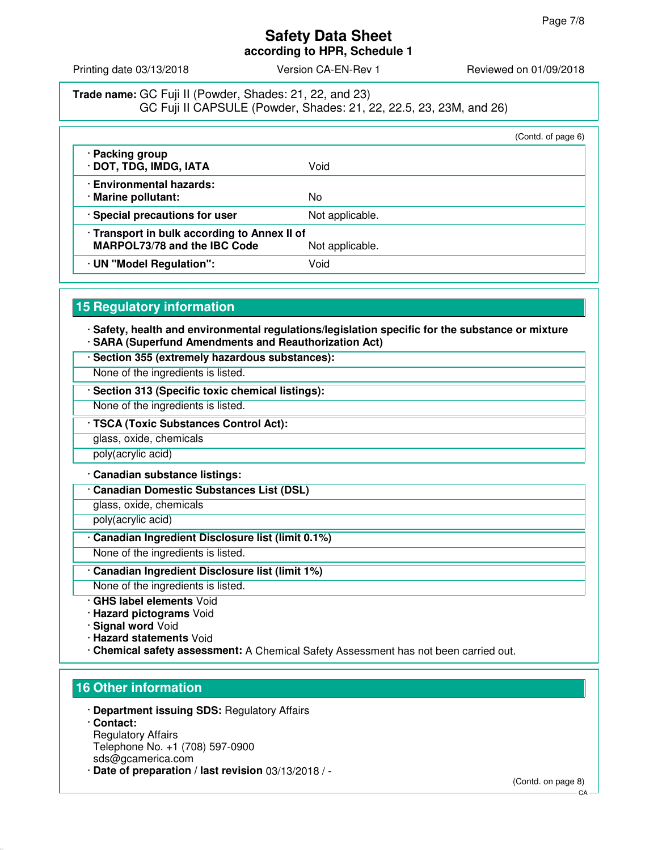Printing date 03/13/2018 **Version CA-EN-Rev 1** Reviewed on 01/09/2018

**Trade name:** GC Fuji II (Powder, Shades: 21, 22, and 23) GC Fuji II CAPSULE (Powder, Shades: 21, 22, 22.5, 23, 23M, and 26)

|                                                                                                        |                 | (Contd. of page 6) |
|--------------------------------------------------------------------------------------------------------|-----------------|--------------------|
| · Packing group<br>· DOT, TDG, IMDG, IATA                                                              | Void            |                    |
| · Environmental hazards:<br>· Marine pollutant:                                                        | No              |                    |
| · Special precautions for user                                                                         | Not applicable. |                    |
| · Transport in bulk according to Annex II of<br><b>MARPOL73/78 and the IBC Code</b><br>Not applicable. |                 |                    |
| · UN "Model Regulation":                                                                               | Void            |                    |

# **15 Regulatory information**

· **Safety, health and environmental regulations/legislation specific for the substance or mixture** · **SARA (Superfund Amendments and Reauthorization Act)**

· **Section 355 (extremely hazardous substances):**

None of the ingredients is listed.

· **Section 313 (Specific toxic chemical listings):**

None of the ingredients is listed.

· **TSCA (Toxic Substances Control Act):**

glass, oxide, chemicals

poly(acrylic acid)

· **Canadian substance listings:**

· **Canadian Domestic Substances List (DSL)**

glass, oxide, chemicals

poly(acrylic acid)

· **Canadian Ingredient Disclosure list (limit 0.1%)**

None of the ingredients is listed.

· **Canadian Ingredient Disclosure list (limit 1%)**

None of the ingredients is listed.

· **GHS label elements** Void

· **Hazard pictograms** Void

· **Signal word** Void

· **Hazard statements** Void

· **Chemical safety assessment:** A Chemical Safety Assessment has not been carried out.

# **16 Other information**

· **Department issuing SDS:** Regulatory Affairs

· **Contact:** Regulatory Affairs Telephone No. +1 (708) 597-0900 sds@gcamerica.com

· **Date of preparation / last revision** 03/13/2018 / -

(Contd. on page 8)

**CA**